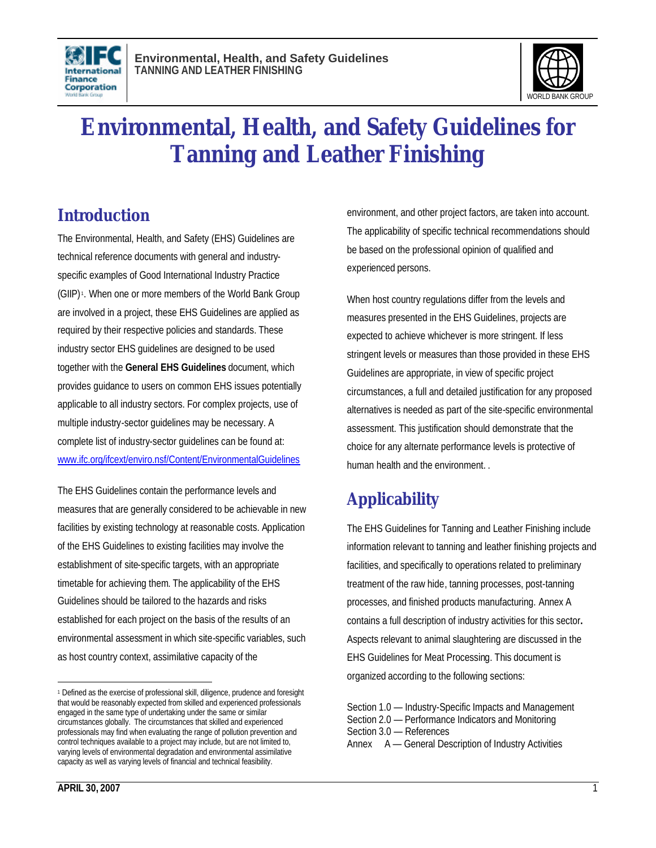



# **Environmental, Health, and Safety Guidelines for Tanning and Leather Finishing**

# **Introduction**

The Environmental, Health, and Safety (EHS) Guidelines are technical reference documents with general and industryspecific examples of Good International Industry Practice (GIIP) <sup>1</sup> . When one or more members of the World Bank Group are involved in a project, these EHS Guidelines are applied as required by their respective policies and standards. These industry sector EHS guidelines are designed to be used together with the **General EHS Guidelines** document, which provides guidance to users on common EHS issues potentially applicable to all industry sectors. For complex projects, use of multiple industry-sector guidelines may be necessary. A complete list of industry-sector guidelines can be found at: www.ifc.org/ifcext/enviro.nsf/Content/EnvironmentalGuidelines

The EHS Guidelines contain the performance levels and measures that are generally considered to be achievable in new facilities by existing technology at reasonable costs. Application of the EHS Guidelines to existing facilities may involve the establishment of site-specific targets, with an appropriate timetable for achieving them. The applicability of the EHS Guidelines should be tailored to the hazards and risks established for each project on the basis of the results of an environmental assessment in which site-specific variables, such as host country context, assimilative capacity of the

environment, and other project factors, are taken into account. The applicability of specific technical recommendations should be based on the professional opinion of qualified and experienced persons.

When host country regulations differ from the levels and measures presented in the EHS Guidelines, projects are expected to achieve whichever is more stringent. If less stringent levels or measures than those provided in these EHS Guidelines are appropriate, in view of specific project circumstances, a full and detailed justification for any proposed alternatives is needed as part of the site-specific environmental assessment. This justification should demonstrate that the choice for any alternate performance levels is protective of human health and the environment. .

# **Applicability**

The EHS Guidelines for Tanning and Leather Finishing include information relevant to tanning and leather finishing projects and facilities, and specifically to operations related to preliminary treatment of the raw hide, tanning processes, post-tanning processes, and finished products manufacturing. Annex A contains a full description of industry activities for this sector**.** Aspects relevant to animal slaughtering are discussed in the EHS Guidelines for Meat Processing. This document is organized according to the following sections:

 $\overline{a}$ <sup>1</sup> Defined as the exercise of professional skill, diligence, prudence and foresight that would be reasonably expected from skilled and experienced professionals engaged in the same type of undertaking under the same or similar circumstances globally. The circumstances that skilled and experienced professionals may find when evaluating the range of pollution prevention and control techniques available to a project may include, but are not limited to, varying levels of environmental degradation and environmental assimilative capacity as well as varying levels of financial and technical feasibility.

Section 1.0 — Industry-Specific Impacts and Management Section 2.0 — Performance Indicators and Monitoring Section 3.0 — References Annex A — General Description of Industry Activities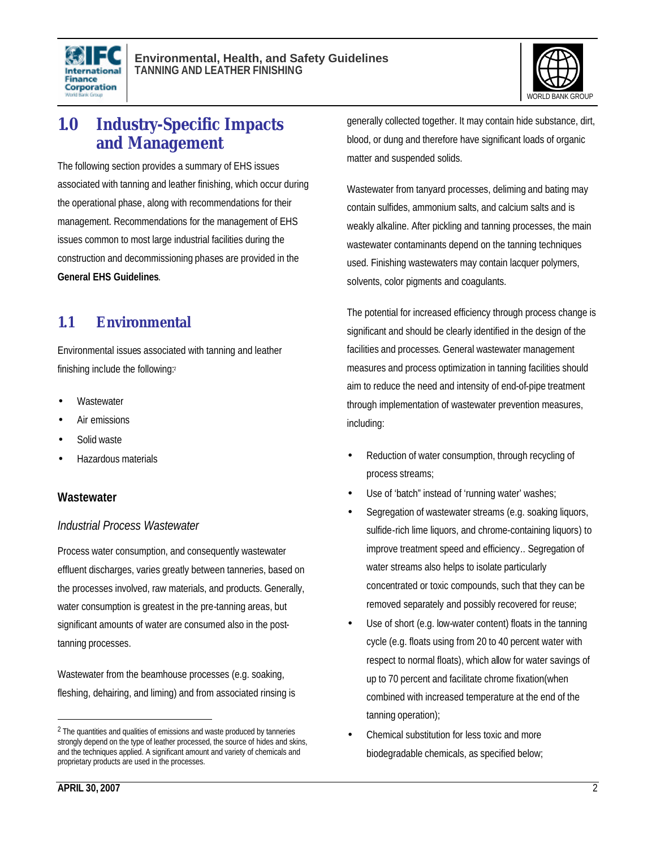



# **1.0 Industry-Specific Impacts and Management**

The following section provides a summary of EHS issues associated with tanning and leather finishing, which occur during the operational phase, along with recommendations for their management. Recommendations for the management of EHS issues common to most large industrial facilities during the construction and decommissioning phases are provided in the **General EHS Guidelines**.

### **1.1 Environmental**

Environmental issues associated with tanning and leather finishing include the following:<sup>2</sup>

- **Wastewater**
- Air emissions
- Solid waste
- Hazardous materials

#### **Wastewater**

#### *Industrial Process Wastewater*

Process water consumption, and consequently wastewater effluent discharges, varies greatly between tanneries, based on the processes involved, raw materials, and products. Generally, water consumption is greatest in the pre-tanning areas, but significant amounts of water are consumed also in the posttanning processes.

Wastewater from the beamhouse processes (e.g. soaking, fleshing, dehairing, and liming) and from associated rinsing is generally collected together. It may contain hide substance, dirt, blood, or dung and therefore have significant loads of organic matter and suspended solids.

Wastewater from tanyard processes, deliming and bating may contain sulfides, ammonium salts, and calcium salts and is weakly alkaline. After pickling and tanning processes, the main wastewater contaminants depend on the tanning techniques used. Finishing wastewaters may contain lacquer polymers, solvents, color pigments and coagulants.

The potential for increased efficiency through process change is significant and should be clearly identified in the design of the facilities and processes. General wastewater management measures and process optimization in tanning facilities should aim to reduce the need and intensity of end-of-pipe treatment through implementation of wastewater prevention measures, including:

- Reduction of water consumption, through recycling of process streams;
- Use of 'batch" instead of 'running water' washes;
- Segregation of wastewater streams (e.g. soaking liquors, sulfide-rich lime liquors, and chrome-containing liquors) to improve treatment speed and efficiency.. Segregation of water streams also helps to isolate particularly concentrated or toxic compounds, such that they can be removed separately and possibly recovered for reuse;
- Use of short (e.g. low-water content) floats in the tanning cycle (e.g. floats using from 20 to 40 percent water with respect to normal floats), which allow for water savings of up to 70 percent and facilitate chrome fixation(when combined with increased temperature at the end of the tanning operation);
- Chemical substitution for less toxic and more biodegradable chemicals, as specified below;

<sup>&</sup>lt;sup>2</sup> The quantities and qualities of emissions and waste produced by tanneries strongly depend on the type of leather processed, the source of hides and skins, and the techniques applied. A significant amount and variety of chemicals and proprietary products are used in the processes.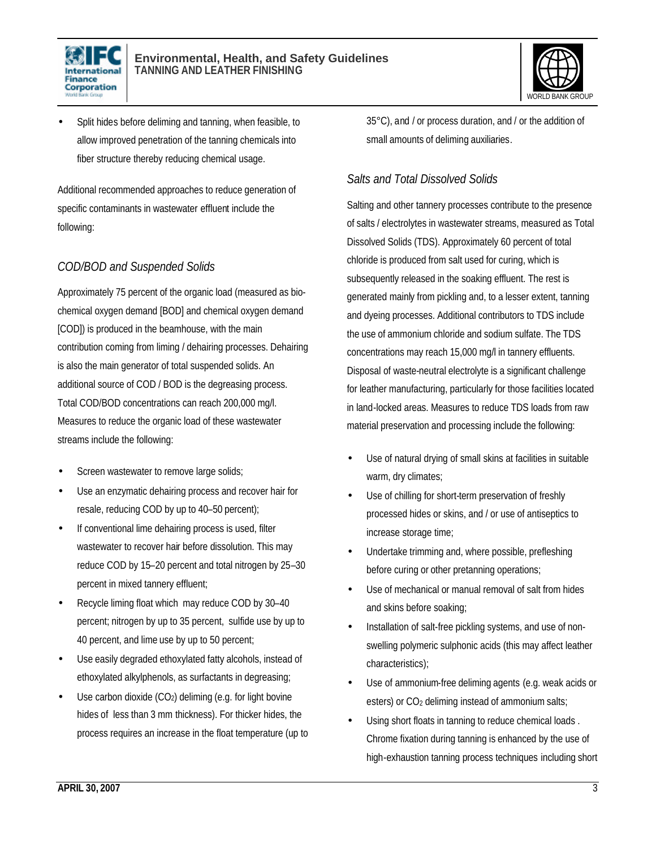



• Split hides before deliming and tanning, when feasible, to allow improved penetration of the tanning chemicals into fiber structure thereby reducing chemical usage.

Additional recommended approaches to reduce generation of specific contaminants in wastewater effluent include the following:

### *COD/BOD and Suspended Solids*

Approximately 75 percent of the organic load (measured as biochemical oxygen demand [BOD] and chemical oxygen demand [COD]) is produced in the beamhouse, with the main contribution coming from liming / dehairing processes. Dehairing is also the main generator of total suspended solids. An additional source of COD / BOD is the degreasing process. Total COD/BOD concentrations can reach 200,000 mg/l. Measures to reduce the organic load of these wastewater streams include the following:

- Screen wastewater to remove large solids;
- Use an enzymatic dehairing process and recover hair for resale, reducing COD by up to 40–50 percent);
- If conventional lime dehairing process is used, filter wastewater to recover hair before dissolution. This may reduce COD by 15–20 percent and total nitrogen by 25–30 percent in mixed tannery effluent;
- Recycle liming float which may reduce COD by 30–40 percent; nitrogen by up to 35 percent, sulfide use by up to 40 percent, and lime use by up to 50 percent;
- Use easily degraded ethoxylated fatty alcohols, instead of ethoxylated alkylphenols, as surfactants in degreasing;
- Use carbon dioxide  $(CO_2)$  deliming (e.g. for light bovine hides of less than 3 mm thickness). For thicker hides, the process requires an increase in the float temperature (up to

35°C), and / or process duration, and / or the addition of small amounts of deliming auxiliaries.

#### *Salts and Total Dissolved Solids*

Salting and other tannery processes contribute to the presence of salts / electrolytes in wastewater streams, measured as Total Dissolved Solids (TDS). Approximately 60 percent of total chloride is produced from salt used for curing, which is subsequently released in the soaking effluent. The rest is generated mainly from pickling and, to a lesser extent, tanning and dyeing processes. Additional contributors to TDS include the use of ammonium chloride and sodium sulfate. The TDS concentrations may reach 15,000 mg/l in tannery effluents. Disposal of waste-neutral electrolyte is a significant challenge for leather manufacturing, particularly for those facilities located in land-locked areas. Measures to reduce TDS loads from raw material preservation and processing include the following:

- Use of natural drying of small skins at facilities in suitable warm, dry climates;
- Use of chilling for short-term preservation of freshly processed hides or skins, and / or use of antiseptics to increase storage time;
- Undertake trimming and, where possible, prefleshing before curing or other pretanning operations;
- Use of mechanical or manual removal of salt from hides and skins before soaking;
- Installation of salt-free pickling systems, and use of nonswelling polymeric sulphonic acids (this may affect leather characteristics);
- Use of ammonium-free deliming agents (e.g. weak acids or esters) or CO<sub>2</sub> deliming instead of ammonium salts;
- Using short floats in tanning to reduce chemical loads . Chrome fixation during tanning is enhanced by the use of high-exhaustion tanning process techniques including short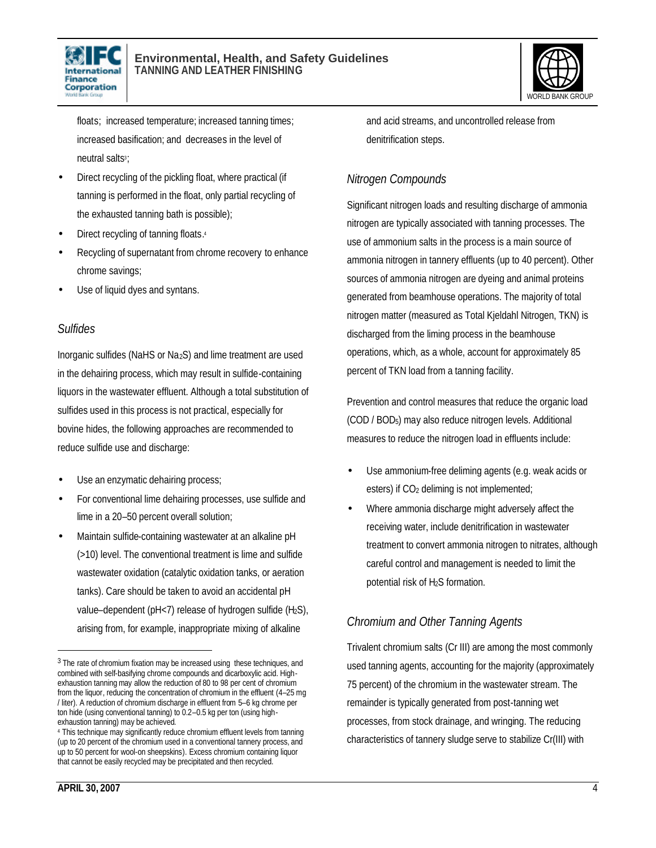



floats; increased temperature; increased tanning times; increased basification; and decreases in the level of neutral salts<sup>3</sup>

- Direct recycling of the pickling float, where practical (if tanning is performed in the float, only partial recycling of the exhausted tanning bath is possible);
- Direct recycling of tanning floats.4
- Recycling of supernatant from chrome recovery to enhance chrome savings;
- Use of liquid dyes and syntans.

#### *Sulfides*

Inorganic sulfides (NaHS or  $Na<sub>2</sub>S$ ) and lime treatment are used in the dehairing process, which may result in sulfide-containing liquors in the wastewater effluent. Although a total substitution of sulfides used in this process is not practical, especially for bovine hides, the following approaches are recommended to reduce sulfide use and discharge:

- Use an enzymatic dehairing process;
- For conventional lime dehairing processes, use sulfide and lime in a 20–50 percent overall solution;
- Maintain sulfide-containing wastewater at an alkaline pH (>10) level. The conventional treatment is lime and sulfide wastewater oxidation (catalytic oxidation tanks, or aeration tanks). Care should be taken to avoid an accidental pH value–dependent ( $pH<7$ ) release of hydrogen sulfide ( $H<sub>2</sub>S$ ), arising from, for example, inappropriate mixing of alkaline

and acid streams, and uncontrolled release from denitrification steps.

### *Nitrogen Compounds*

Significant nitrogen loads and resulting discharge of ammonia nitrogen are typically associated with tanning processes. The use of ammonium salts in the process is a main source of ammonia nitrogen in tannery effluents (up to 40 percent). Other sources of ammonia nitrogen are dyeing and animal proteins generated from beamhouse operations. The majority of total nitrogen matter (measured as Total Kjeldahl Nitrogen, TKN) is discharged from the liming process in the beamhouse operations, which, as a whole, account for approximately 85 percent of TKN load from a tanning facility.

Prevention and control measures that reduce the organic load (COD / BOD5) may also reduce nitrogen levels. Additional measures to reduce the nitrogen load in effluents include:

- Use ammonium-free deliming agents (e.g. weak acids or esters) if CO<sub>2</sub> deliming is not implemented;
- Where ammonia discharge might adversely affect the receiving water, include denitrification in wastewater treatment to convert ammonia nitrogen to nitrates, although careful control and management is needed to limit the potential risk of H2S formation.

### *Chromium and Other Tanning Agents*

Trivalent chromium salts (Cr III) are among the most commonly used tanning agents, accounting for the majority (approximately 75 percent) of the chromium in the wastewater stream. The remainder is typically generated from post-tanning wet processes, from stock drainage, and wringing. The reducing characteristics of tannery sludge serve to stabilize Cr(III) with

<sup>&</sup>lt;sup>3</sup> The rate of chromium fixation may be increased using these techniques, and combined with self-basifying chrome compounds and dicarboxylic acid. Highexhaustion tanning may allow the reduction of 80 to 98 per cent of chromium from the liquor, reducing the concentration of chromium in the effluent (4–25 mg / liter). A reduction of chromium discharge in effluent from 5–6 kg chrome per ton hide (using conventional tanning) to 0.2–0.5 kg per ton (using highexhaustion tanning) may be achieved.

<sup>4</sup> This technique may significantly reduce chromium effluent levels from tanning (up to 20 percent of the chromium used in a conventional tannery process, and up to 50 percent for wool-on sheepskins). Excess chromium containing liquor that cannot be easily recycled may be precipitated and then recycled.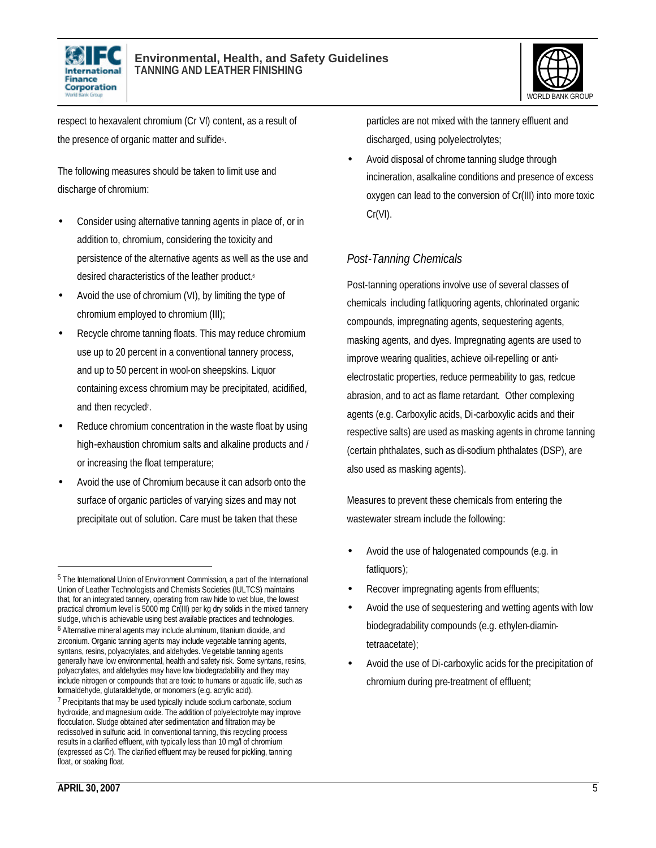



respect to hexavalent chromium (Cr VI) content, as a result of the presence of organic matter and sulfide<sup>5</sup>.

The following measures should be taken to limit use and discharge of chromium:

- Consider using alternative tanning agents in place of, or in addition to, chromium, considering the toxicity and persistence of the alternative agents as well as the use and desired characteristics of the leather product.<sup>6</sup>
- Avoid the use of chromium (VI), by limiting the type of chromium employed to chromium (III);
- Recycle chrome tanning floats. This may reduce chromium use up to 20 percent in a conventional tannery process, and up to 50 percent in wool-on sheepskins. Liquor containing excess chromium may be precipitated, acidified, and then recycled<sup>7</sup>.
- Reduce chromium concentration in the waste float by using high-exhaustion chromium salts and alkaline products and / or increasing the float temperature;
- Avoid the use of Chromium because it can adsorb onto the surface of organic particles of varying sizes and may not precipitate out of solution. Care must be taken that these

particles are not mixed with the tannery effluent and discharged, using polyelectrolytes;

• Avoid disposal of chrome tanning sludge through incineration, asalkaline conditions and presence of excess oxygen can lead to the conversion of Cr(III) into more toxic Cr(VI).

### *Post-Tanning Chemicals*

Post-tanning operations involve use of several classes of chemicals including fatliquoring agents, chlorinated organic compounds, impregnating agents, sequestering agents, masking agents, and dyes. Impregnating agents are used to improve wearing qualities, achieve oil-repelling or antielectrostatic properties, reduce permeability to gas, redcue abrasion, and to act as flame retardant. Other complexing agents (e.g. Carboxylic acids, Di-carboxylic acids and their respective salts) are used as masking agents in chrome tanning (certain phthalates, such as di-sodium phthalates (DSP), are also used as masking agents).

Measures to prevent these chemicals from entering the wastewater stream include the following:

- Avoid the use of halogenated compounds (e.g. in fatliquors);
- Recover impregnating agents from effluents;
- Avoid the use of sequestering and wetting agents with low biodegradability compounds (e.g. ethylen-diamintetraacetate);
- Avoid the use of Di-carboxylic acids for the precipitation of chromium during pre-treatment of effluent;

<sup>&</sup>lt;sup>5</sup> The International Union of Environment Commission, a part of the International Union of Leather Technologists and Chemists Societies (IULTCS) maintains that, for an integrated tannery, operating from raw hide to wet blue, the lowest practical chromium level is 5000 mg Cr(III) per kg dry solids in the mixed tannery sludge, which is achievable using best available practices and technologies.

<sup>6</sup> Alternative mineral agents may include aluminum, titanium dioxide, and zirconium. Organic tanning agents may include vegetable tanning agents, syntans, resins, polyacrylates, and aldehydes. Vegetable tanning agents generally have low environmental, health and safety risk. Some syntans, resins, polyacrylates, and aldehydes may have low biodegradability and they may include nitrogen or compounds that are toxic to humans or aquatic life, such as formaldehyde, glutaraldehyde, or monomers (e.g. acrylic acid).

<sup>7</sup> Precipitants that may be used typically include sodium carbonate, sodium hydroxide, and magnesium oxide. The addition of polyelectrolyte may improve flocculation. Sludge obtained after sedimentation and filtration may be redissolved in sulfuric acid. In conventional tanning, this recycling process results in a clarified effluent, with typically less than 10 mg/l of chromium (expressed as Cr). The clarified effluent may be reused for pickling, tanning float, or soaking float.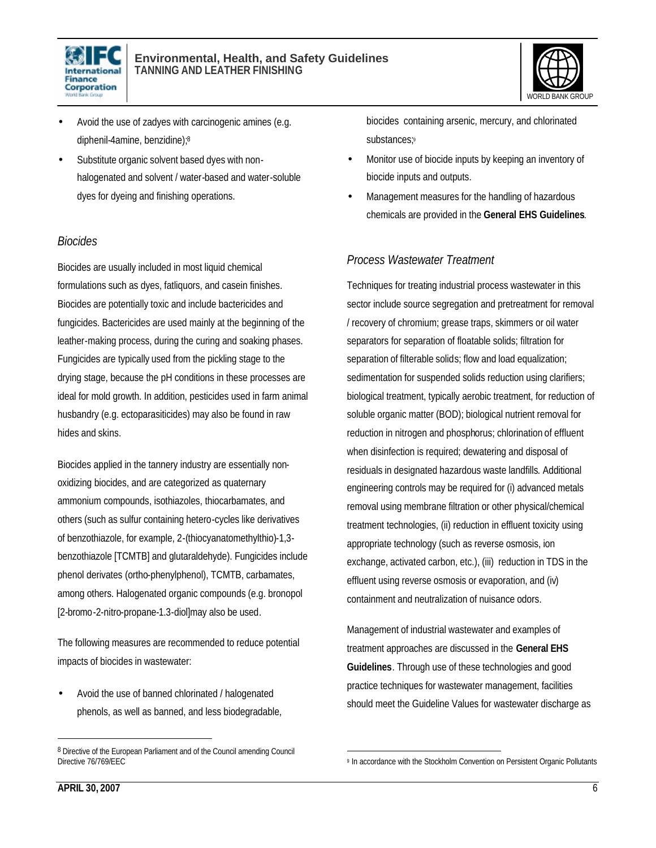



- Avoid the use of zadyes with carcinogenic amines (e.g. diphenil-4amine, benzidine); 8
- Substitute organic solvent based dyes with nonhalogenated and solvent / water-based and water-soluble dyes for dyeing and finishing operations.

#### *Biocides*

Biocides are usually included in most liquid chemical formulations such as dyes, fatliquors, and casein finishes. Biocides are potentially toxic and include bactericides and fungicides. Bactericides are used mainly at the beginning of the leather-making process, during the curing and soaking phases. Fungicides are typically used from the pickling stage to the drying stage, because the pH conditions in these processes are ideal for mold growth. In addition, pesticides used in farm animal husbandry (e.g. ectoparasiticides) may also be found in raw hides and skins.

Biocides applied in the tannery industry are essentially nonoxidizing biocides, and are categorized as quaternary ammonium compounds, isothiazoles, thiocarbamates, and others (such as sulfur containing hetero-cycles like derivatives of benzothiazole, for example, 2-(thiocyanatomethylthio)-1,3 benzothiazole [TCMTB] and glutaraldehyde). Fungicides include phenol derivates (ortho-phenylphenol), TCMTB, carbamates, among others. Halogenated organic compounds (e.g. bronopol [2-bromo-2-nitro-propane-1.3-diol]may also be used.

The following measures are recommended to reduce potential impacts of biocides in wastewater:

• Avoid the use of banned chlorinated / halogenated phenols, as well as banned, and less biodegradable, biocides containing arsenic, mercury, and chlorinated substances;9

- Monitor use of biocide inputs by keeping an inventory of biocide inputs and outputs.
- Management measures for the handling of hazardous chemicals are provided in the **General EHS Guidelines**.

#### *Process Wastewater Treatment*

Techniques for treating industrial process wastewater in this sector include source segregation and pretreatment for removal / recovery of chromium; grease traps, skimmers or oil water separators for separation of floatable solids; filtration for separation of filterable solids; flow and load equalization; sedimentation for suspended solids reduction using clarifiers; biological treatment, typically aerobic treatment, for reduction of soluble organic matter (BOD); biological nutrient removal for reduction in nitrogen and phosphorus; chlorination of effluent when disinfection is required; dewatering and disposal of residuals in designated hazardous waste landfills. Additional engineering controls may be required for (i) advanced metals removal using membrane filtration or other physical/chemical treatment technologies, (ii) reduction in effluent toxicity using appropriate technology (such as reverse osmosis, ion exchange, activated carbon, etc.), (iii) reduction in TDS in the effluent using reverse osmosis or evaporation, and (iv) containment and neutralization of nuisance odors.

Management of industrial wastewater and examples of treatment approaches are discussed in the **General EHS Guidelines**. Through use of these technologies and good practice techniques for wastewater management, facilities should meet the Guideline Values for wastewater discharge as

<sup>&</sup>lt;sup>8</sup> Directive of the European Parliament and of the Council amending Council Directive 76/769/EEC

<sup>1</sup> 9 In accordance with the Stockholm Convention on Persistent Organic Pollutants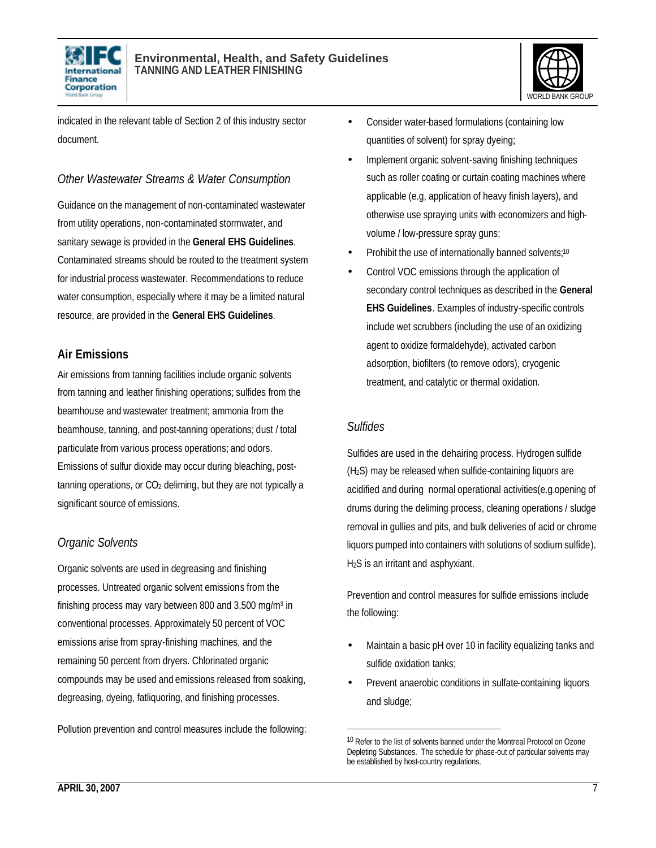



indicated in the relevant table of Section 2 of this industry sector document.

#### *Other Wastewater Streams & Water Consumption*

Guidance on the management of non-contaminated wastewater from utility operations, non-contaminated stormwater, and sanitary sewage is provided in the **General EHS Guidelines**. Contaminated streams should be routed to the treatment system for industrial process wastewater. Recommendations to reduce water consumption, especially where it may be a limited natural resource, are provided in the **General EHS Guidelines**.

#### **Air Emissions**

Air emissions from tanning facilities include organic solvents from tanning and leather finishing operations; sulfides from the beamhouse and wastewater treatment; ammonia from the beamhouse, tanning, and post-tanning operations; dust / total particulate from various process operations; and odors. Emissions of sulfur dioxide may occur during bleaching, post $t$ anning operations, or  $CO<sub>2</sub>$  deliming, but they are not typically a significant source of emissions.

### *Organic Solvents*

Organic solvents are used in degreasing and finishing processes. Untreated organic solvent emissions from the finishing process may vary between 800 and  $3,500$  mg/m<sup>3</sup> in conventional processes. Approximately 50 percent of VOC emissions arise from spray-finishing machines, and the remaining 50 percent from dryers. Chlorinated organic compounds may be used and emissions released from soaking, degreasing, dyeing, fatliquoring, and finishing processes.

Pollution prevention and control measures include the following:

- Consider water-based formulations (containing low quantities of solvent) for spray dyeing;
- Implement organic solvent-saving finishing techniques such as roller coating or curtain coating machines where applicable (e.g, application of heavy finish layers), and otherwise use spraying units with economizers and highvolume / low-pressure spray guns;
- Prohibit the use of internationally banned solvents;<sup>10</sup>
- Control VOC emissions through the application of secondary control techniques as described in the **General EHS Guidelines**. Examples of industry-specific controls include wet scrubbers (including the use of an oxidizing agent to oxidize formaldehyde), activated carbon adsorption, biofilters (to remove odors), cryogenic treatment, and catalytic or thermal oxidation.

#### *Sulfides*

l

Sulfides are used in the dehairing process. Hydrogen sulfide (H2S) may be released when sulfide-containing liquors are acidified and during normal operational activities(e.g.opening of drums during the deliming process, cleaning operations / sludge removal in gullies and pits, and bulk deliveries of acid or chrome liquors pumped into containers with solutions of sodium sulfide). H2S is an irritant and asphyxiant.

Prevention and control measures for sulfide emissions include the following:

- Maintain a basic pH over 10 in facility equalizing tanks and sulfide oxidation tanks;
- Prevent anaerobic conditions in sulfate-containing liquors and sludge;

<sup>&</sup>lt;sup>10</sup> Refer to the list of solvents banned under the Montreal Protocol on Ozone Depleting Substances. The schedule for phase-out of particular solvents may be established by host-country regulations.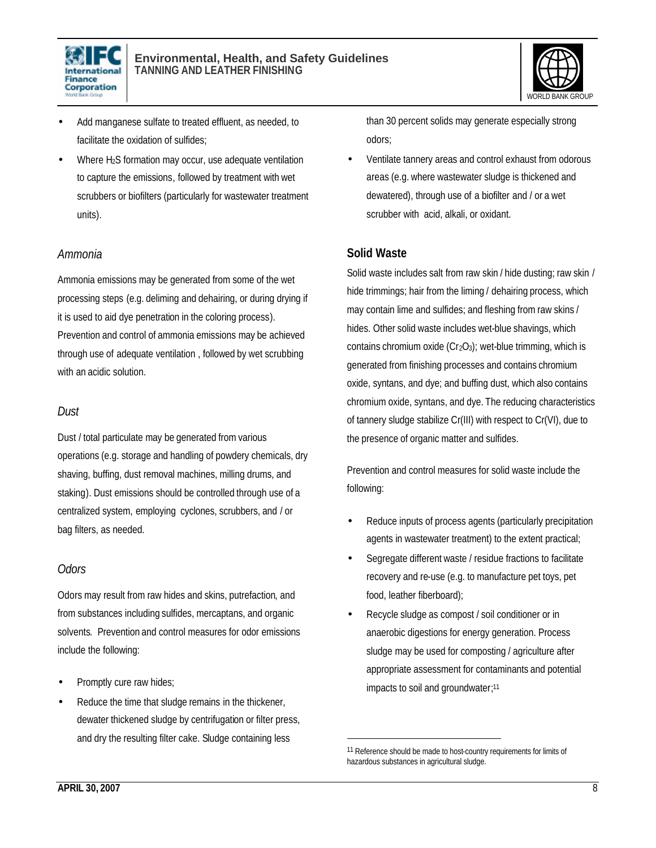



- Add manganese sulfate to treated effluent, as needed, to facilitate the oxidation of sulfides;
- Where H2S formation may occur, use adequate ventilation to capture the emissions, followed by treatment with wet scrubbers or biofilters (particularly for wastewater treatment units).

#### *Ammonia*

Ammonia emissions may be generated from some of the wet processing steps (e.g. deliming and dehairing, or during drying if it is used to aid dye penetration in the coloring process).

Prevention and control of ammonia emissions may be achieved through use of adequate ventilation , followed by wet scrubbing with an acidic solution.

#### *Dust*

Dust / total particulate may be generated from various operations (e.g. storage and handling of powdery chemicals, dry shaving, buffing, dust removal machines, milling drums, and staking). Dust emissions should be controlled through use of a centralized system, employing cyclones, scrubbers, and / or bag filters, as needed.

#### *Odors*

Odors may result from raw hides and skins, putrefaction, and from substances including sulfides, mercaptans, and organic solvents. Prevention and control measures for odor emissions include the following:

- Promptly cure raw hides;
- Reduce the time that sludge remains in the thickener, dewater thickened sludge by centrifugation or filter press, and dry the resulting filter cake. Sludge containing less

than 30 percent solids may generate especially strong odors;

• Ventilate tannery areas and control exhaust from odorous areas (e.g. where wastewater sludge is thickened and dewatered), through use of a biofilter and / or a wet scrubber with acid, alkali, or oxidant.

#### **Solid Waste**

Solid waste includes salt from raw skin / hide dusting; raw skin / hide trimmings; hair from the liming / dehairing process, which may contain lime and sulfides; and fleshing from raw skins / hides. Other solid waste includes wet-blue shavings, which contains chromium oxide ( $Cr<sub>2</sub>O<sub>3</sub>$ ); wet-blue trimming, which is generated from finishing processes and contains chromium oxide, syntans, and dye; and buffing dust, which also contains chromium oxide, syntans, and dye. The reducing characteristics of tannery sludge stabilize Cr(III) with respect to Cr(VI), due to the presence of organic matter and sulfides.

Prevention and control measures for solid waste include the following:

- Reduce inputs of process agents (particularly precipitation agents in wastewater treatment) to the extent practical;
- Segregate different waste / residue fractions to facilitate recovery and re-use (e.g. to manufacture pet toys, pet food, leather fiberboard);
- Recycle sludge as compost / soil conditioner or in anaerobic digestions for energy generation. Process sludge may be used for composting / agriculture after appropriate assessment for contaminants and potential impacts to soil and groundwater; 11

1

<sup>11</sup> Reference should be made to host-country requirements for limits of hazardous substances in agricultural sludge.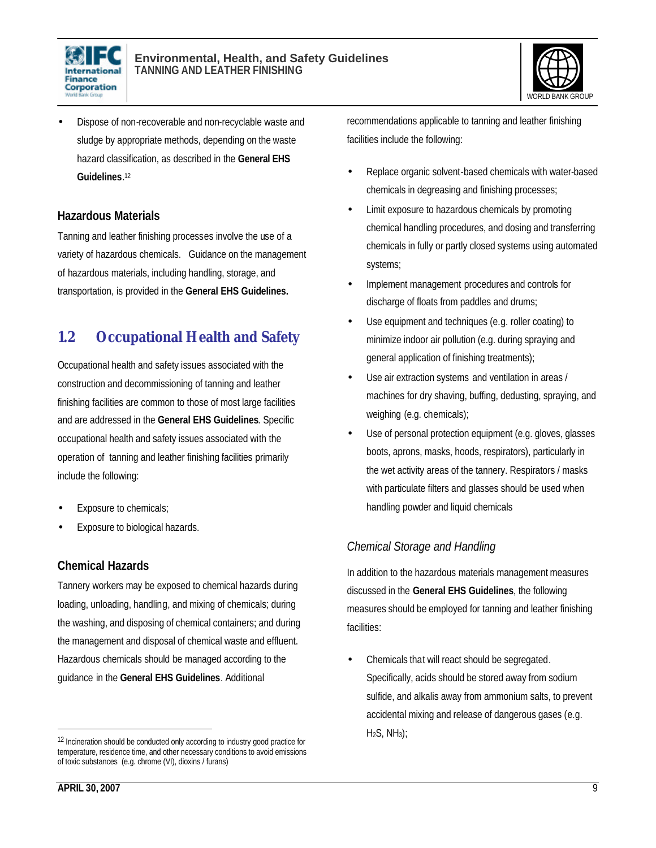



• Dispose of non-recoverable and non-recyclable waste and sludge by appropriate methods, depending on the waste hazard classification, as described in the **General EHS Guidelines**. 12

#### **Hazardous Materials**

Tanning and leather finishing processes involve the use of a variety of hazardous chemicals. Guidance on the management of hazardous materials, including handling, storage, and transportation, is provided in the **General EHS Guidelines.** 

## **1.2 Occupational Health and Safety**

Occupational health and safety issues associated with the construction and decommissioning of tanning and leather finishing facilities are common to those of most large facilities and are addressed in the **General EHS Guidelines**. Specific occupational health and safety issues associated with the operation of tanning and leather finishing facilities primarily include the following:

- Exposure to chemicals;
- Exposure to biological hazards.

#### **Chemical Hazards**

Tannery workers may be exposed to chemical hazards during loading, unloading, handling, and mixing of chemicals; during the washing, and disposing of chemical containers; and during the management and disposal of chemical waste and effluent. Hazardous chemicals should be managed according to the guidance in the **General EHS Guidelines**. Additional

recommendations applicable to tanning and leather finishing facilities include the following:

- Replace organic solvent-based chemicals with water-based chemicals in degreasing and finishing processes;
- Limit exposure to hazardous chemicals by promoting chemical handling procedures, and dosing and transferring chemicals in fully or partly closed systems using automated systems;
- Implement management procedures and controls for discharge of floats from paddles and drums;
- Use equipment and techniques (e.g. roller coating) to minimize indoor air pollution (e.g. during spraying and general application of finishing treatments);
- Use air extraction systems and ventilation in areas / machines for dry shaving, buffing, dedusting, spraying, and weighing (e.g. chemicals);
- Use of personal protection equipment (e.g. gloves, glasses boots, aprons, masks, hoods, respirators), particularly in the wet activity areas of the tannery. Respirators / masks with particulate filters and glasses should be used when handling powder and liquid chemicals

#### *Chemical Storage and Handling*

In addition to the hazardous materials management measures discussed in the **General EHS Guidelines**, the following measures should be employed for tanning and leather finishing facilities:

• Chemicals that will react should be segregated. Specifically, acids should be stored away from sodium sulfide, and alkalis away from ammonium salts, to prevent accidental mixing and release of dangerous gases (e.g.  $H<sub>2</sub>S, NH<sub>3</sub>$ ;

l

<sup>&</sup>lt;sup>12</sup> Incineration should be conducted only according to industry good practice for temperature, residence time, and other necessary conditions to avoid emissions of toxic substances (e.g. chrome (VI), dioxins / furans)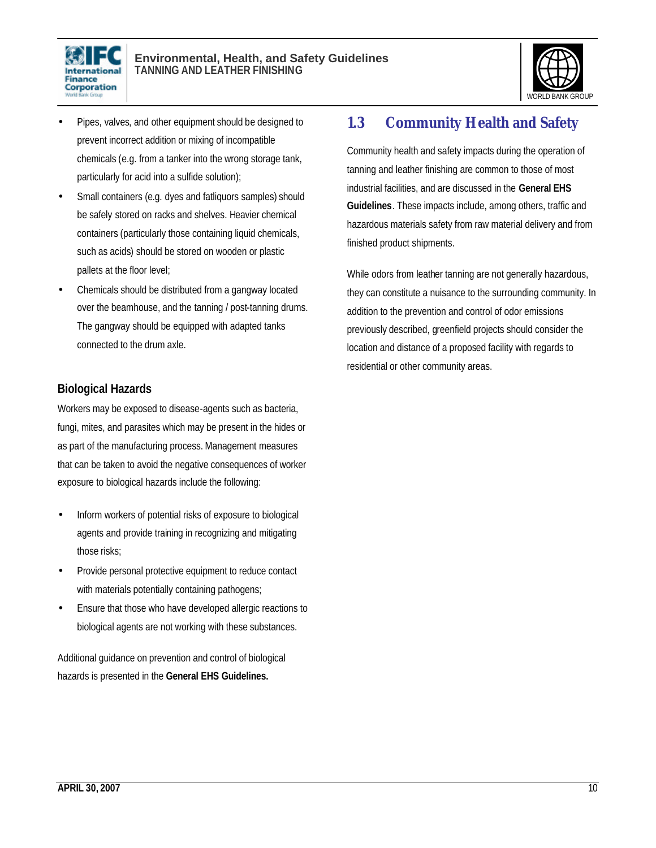



- Pipes, valves, and other equipment should be designed to prevent incorrect addition or mixing of incompatible chemicals (e.g. from a tanker into the wrong storage tank, particularly for acid into a sulfide solution);
- Small containers (e.g. dyes and fatliquors samples) should be safely stored on racks and shelves. Heavier chemical containers (particularly those containing liquid chemicals, such as acids) should be stored on wooden or plastic pallets at the floor level;
- Chemicals should be distributed from a gangway located over the beamhouse, and the tanning / post-tanning drums. The gangway should be equipped with adapted tanks connected to the drum axle.

#### **Biological Hazards**

Workers may be exposed to disease-agents such as bacteria, fungi, mites, and parasites which may be present in the hides or as part of the manufacturing process. Management measures that can be taken to avoid the negative consequences of worker exposure to biological hazards include the following:

- Inform workers of potential risks of exposure to biological agents and provide training in recognizing and mitigating those risks;
- Provide personal protective equipment to reduce contact with materials potentially containing pathogens;
- Ensure that those who have developed allergic reactions to biological agents are not working with these substances.

Additional guidance on prevention and control of biological hazards is presented in the **General EHS Guidelines.**

## **1.3 Community Health and Safety**

Community health and safety impacts during the operation of tanning and leather finishing are common to those of most industrial facilities, and are discussed in the **General EHS Guidelines**. These impacts include, among others, traffic and hazardous materials safety from raw material delivery and from finished product shipments.

While odors from leather tanning are not generally hazardous, they can constitute a nuisance to the surrounding community. In addition to the prevention and control of odor emissions previously described, greenfield projects should consider the location and distance of a proposed facility with regards to residential or other community areas.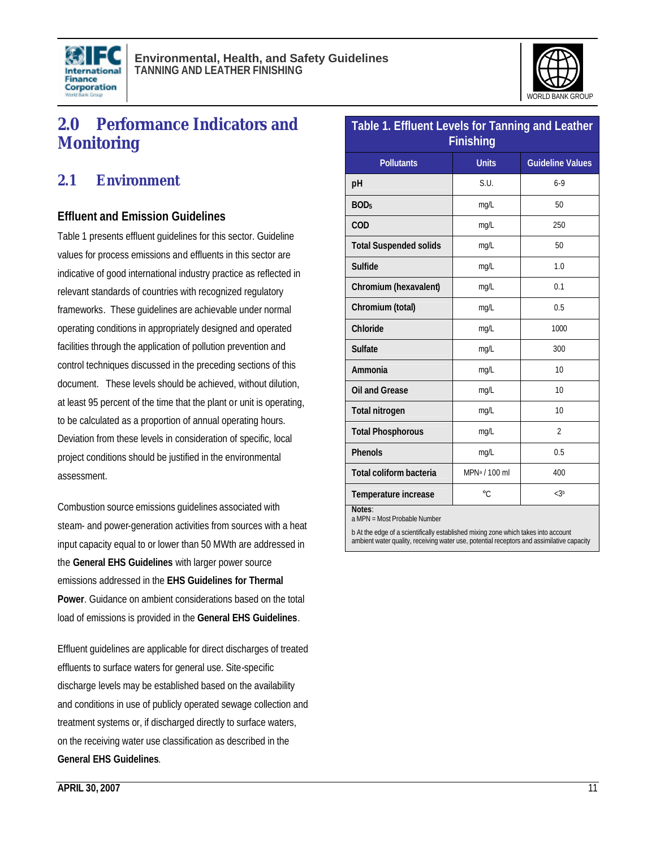



# **2.0 Performance Indicators and Monitoring**

### **2.1 Environment**

#### **Effluent and Emission Guidelines**

Table 1 presents effluent guidelines for this sector. Guideline values for process emissions and effluents in this sector are indicative of good international industry practice as reflected in relevant standards of countries with recognized regulatory frameworks. These guidelines are achievable under normal operating conditions in appropriately designed and operated facilities through the application of pollution prevention and control techniques discussed in the preceding sections of this document. These levels should be achieved, without dilution, at least 95 percent of the time that the plant or unit is operating, to be calculated as a proportion of annual operating hours. Deviation from these levels in consideration of specific, local project conditions should be justified in the environmental assessment.

Combustion source emissions guidelines associated with steam- and power-generation activities from sources with a heat input capacity equal to or lower than 50 MWth are addressed in the **General EHS Guidelines** with larger power source emissions addressed in the **EHS Guidelines for Thermal Power**. Guidance on ambient considerations based on the total load of emissions is provided in the **General EHS Guidelines**.

Effluent guidelines are applicable for direct discharges of treated effluents to surface waters for general use. Site-specific discharge levels may be established based on the availability and conditions in use of publicly operated sewage collection and treatment systems or, if discharged directly to surface waters, on the receiving water use classification as described in the **General EHS Guidelines**.

| Table 1. Effluent Levels for Tanning and Leather<br><b>Finishing</b> |                           |                         |  |  |
|----------------------------------------------------------------------|---------------------------|-------------------------|--|--|
| <b>Pollutants</b>                                                    | <b>Units</b>              | <b>Guideline Values</b> |  |  |
| pH                                                                   | S.U.                      | $6-9$                   |  |  |
| BOD <sub>5</sub>                                                     | mg/L                      | 50                      |  |  |
| COD                                                                  | mg/L                      | 250                     |  |  |
| <b>Total Suspended solids</b>                                        | mg/L                      | 50                      |  |  |
| <b>Sulfide</b>                                                       | mg/L                      | 1.0                     |  |  |
| Chromium (hexavalent)                                                | mg/L                      | 0.1                     |  |  |
| Chromium (total)                                                     | mg/L                      | 0.5                     |  |  |
| Chloride                                                             | mg/L                      | 1000                    |  |  |
| <b>Sulfate</b>                                                       | mg/L                      | 300                     |  |  |
| Ammonia                                                              | mg/L                      | 10                      |  |  |
| Oil and Grease                                                       | mg/L                      | 10                      |  |  |
| <b>Total nitrogen</b>                                                | mg/L                      | 10                      |  |  |
| <b>Total Phosphorous</b>                                             | mg/L                      | $\overline{2}$          |  |  |
| <b>Phenols</b>                                                       | mg/L                      | 0.5                     |  |  |
| <b>Total coliform bacteria</b>                                       | MPN <sup>a</sup> / 100 ml | 400                     |  |  |
| Temperature increase                                                 | °C                        | $<$ 3b                  |  |  |
| Notes:                                                               |                           |                         |  |  |

a MPN = Most Probable Number

b At the edge of a scientifically established mixing zone which takes into account ambient water quality, receiving water use, potential receptors and assimilative capacity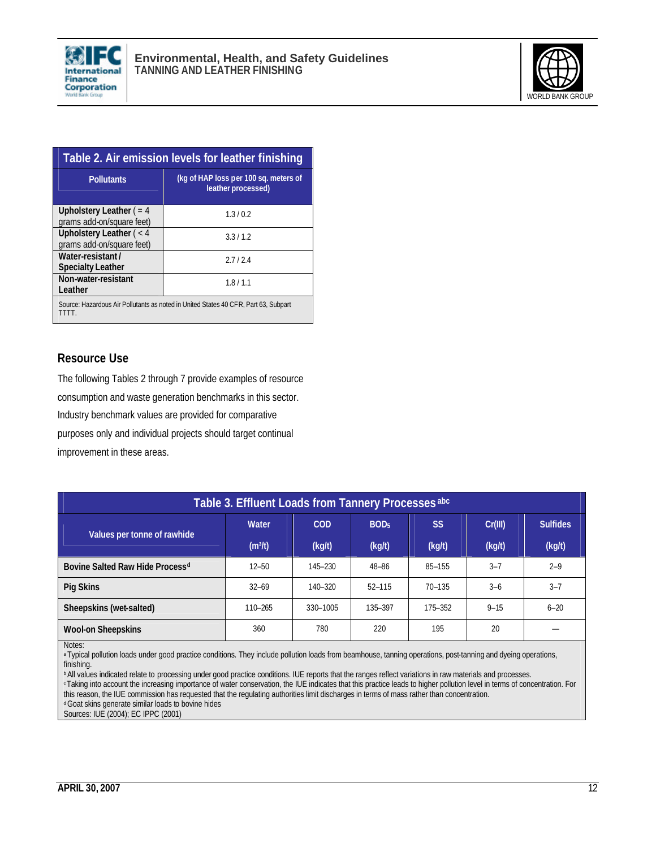



| Table 2. Air emission levels for leather finishing                                          |                                                             |  |  |
|---------------------------------------------------------------------------------------------|-------------------------------------------------------------|--|--|
| <b>Pollutants</b>                                                                           | (kg of HAP loss per 100 sq. meters of<br>leather processed) |  |  |
| Upholstery Leather $( = 4)$<br>grams add-on/square feet)                                    | 1.3/0.2                                                     |  |  |
| Upholstery Leather $(< 4$<br>grams add-on/square feet)                                      | 3.3/1.2                                                     |  |  |
| Water-resistant/<br><b>Specialty Leather</b>                                                | 2.712.4                                                     |  |  |
| Non-water-resistant<br>Leather                                                              | 1.8/1.1                                                     |  |  |
| Source: Hazardous Air Pollutants as noted in United States 40 CFR, Part 63, Subpart<br>TTTT |                                                             |  |  |

#### **Resource Use**

The following Tables 2 through 7 provide examples of resource consumption and waste generation benchmarks in this sector. Industry benchmark values are provided for comparative purposes only and individual projects should target continual improvement in these areas.

| Table 3. Effluent Loads from Tannery Processes abc |                     |            |                  |            |          |                 |
|----------------------------------------------------|---------------------|------------|------------------|------------|----------|-----------------|
| Values per tonne of rawhide                        | Water               | <b>COD</b> | BOD <sub>5</sub> | <b>SS</b>  | Cr(III)  | <b>Sulfides</b> |
|                                                    | (m <sup>3</sup> /t) | (kg/t)     | (kg/t)           | (kg/t)     | (kg/t)   | (kg/t)          |
| Bovine Salted Raw Hide Process <sup>d</sup>        | $12 - 50$           | 145-230    | 48-86            | 85-155     | $3 - 7$  | $2 - 9$         |
| Pig Skins                                          | $32 - 69$           | 140-320    | $52 - 115$       | $70 - 135$ | $3 - 6$  | $3 - 7$         |
| Sheepskins (wet-salted)                            | $110 - 265$         | 330-1005   | 135-397          | 175-352    | $9 - 15$ | $6 - 20$        |
| <b>Wool-on Sheepskins</b>                          | 360                 | 780        | 220              | 195        | 20       |                 |

Notes:

a Typical pollution loads under good practice conditions. They include pollution loads from beamhouse, tanning operations, post-tanning and dyeing operations, finishing.

**b** All values indicated relate to processing under good practice conditions. IUE reports that the ranges reflect variations in raw materials and processes.

<sup>c</sup>Taking into account the increasing importance of water conservation, the IUE indicates that this practice leads to higher pollution level in terms of concentration. For this reason, the IUE commission has requested that the regulating authorities limit discharges in terms of mass rather than concentration. <sup>d</sup>Goat skins generate similar loads to bovine hides

Sources: IUE (2004); EC IPPC (2001)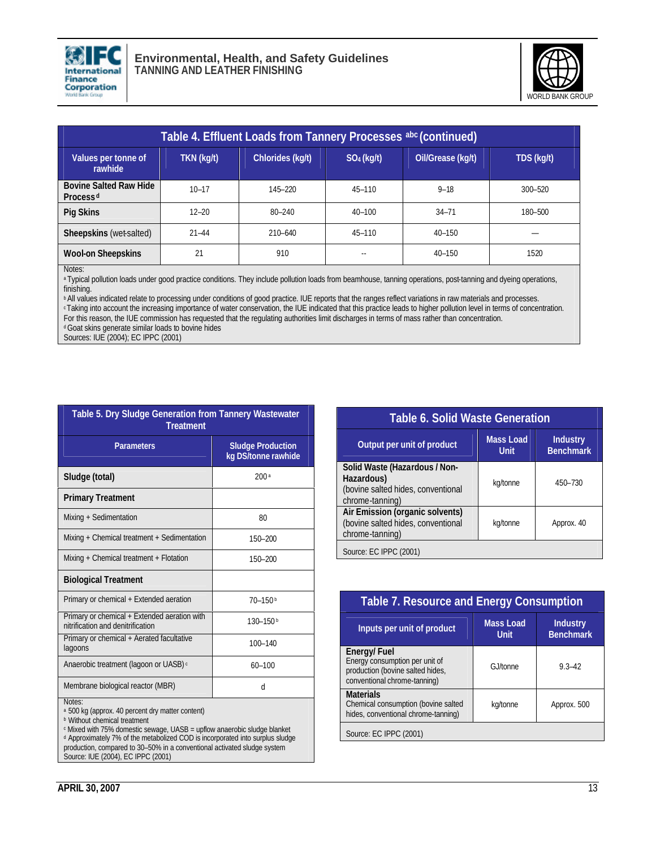



| Table 4. Effluent Loads from Tannery Processes abc (continued) |            |                  |               |                   |            |
|----------------------------------------------------------------|------------|------------------|---------------|-------------------|------------|
| Values per tonne of<br>rawhide                                 | TKN (kg/t) | Chlorides (kg/t) | $SO_4$ (kg/t) | Oil/Grease (kg/t) | TDS (kg/t) |
| <b>Bovine Salted Raw Hide</b><br>Process <sup>d</sup>          | $10 - 17$  | 145-220          | $45 - 110$    | $9 - 18$          | 300-520    |
| Pig Skins                                                      | $12 - 20$  | $80 - 240$       | $40 - 100$    | $34 - 71$         | 180-500    |
| Sheepskins (wet-salted)                                        | $21 - 44$  | $210 - 640$      | $45 - 110$    | $40 - 150$        |            |
| <b>Wool-on Sheepskins</b>                                      | 21         | 910              | $- -$         | $40 - 150$        | 1520       |

Notes:

a Typical pollution loads under good practice conditions. They include pollution loads from beamhouse, tanning operations, post-tanning and dyeing operations, finishing.

**b All values indicated relate to processing under conditions of good practice. IUE reports that the ranges reflect variations in raw materials and processes.** <sup>c</sup>Taking into account the increasing importance of water conservation, the IUE indicated that this practice leads to higher pollution level in terms of concentration. For this reason, the IUE commission has requested that the regulating authorities limit discharges in terms of mass rather than concentration. d Goat skins generate similar loads to bovine hides

Sources: IUE (2004); EC IPPC (2001)

| Table 5. Dry Sludge Generation from Tannery Wastewater<br><b>Treatment</b>        |                                                 |  |  |  |
|-----------------------------------------------------------------------------------|-------------------------------------------------|--|--|--|
| <b>Parameters</b>                                                                 | <b>Sludge Production</b><br>kg DS/tonne rawhide |  |  |  |
| Sludge (total)                                                                    | 200a                                            |  |  |  |
| <b>Primary Treatment</b>                                                          |                                                 |  |  |  |
| Mixing + Sedimentation                                                            | 80                                              |  |  |  |
| Mixing + Chemical treatment + Sedimentation                                       | 150-200                                         |  |  |  |
| Mixing + Chemical treatment + Flotation                                           | 150-200                                         |  |  |  |
| <b>Biological Treatment</b>                                                       |                                                 |  |  |  |
| Primary or chemical + Extended aeration                                           | $70 - 150$                                      |  |  |  |
| Primary or chemical + Extended aeration with<br>nitrification and denitrification | $130 - 150$ b                                   |  |  |  |
| Primary or chemical + Aerated facultative<br>lagoons                              | $100 - 140$                                     |  |  |  |
| Anaerobic treatment (lagoon or UASB) <sup>c</sup>                                 | $60 - 100$                                      |  |  |  |
| Membrane biological reactor (MBR)                                                 | d                                               |  |  |  |
| Notas <sup>.</sup>                                                                |                                                 |  |  |  |

Notes:

<sup>a</sup> 500 kg (approx. 40 percent dry matter content)

**b** Without chemical treatment

c Mixed with 75% domestic sewage, UASB = upflow anaerobic sludge blanket d Approximately 7% of the metabolized COD is incorporated into surplus sludge production, compared to 30–50% in a conventional activated sludge system Source: IUE (2004), EC IPPC (2001)

| <b>Table 6. Solid Waste Generation</b>                                                               |                                 |                                     |  |  |
|------------------------------------------------------------------------------------------------------|---------------------------------|-------------------------------------|--|--|
| Output per unit of product                                                                           | <b>Mass Load</b><br><b>Unit</b> | <b>Industry</b><br><b>Benchmark</b> |  |  |
| Solid Waste (Hazardous / Non-<br>Hazardous)<br>(bovine salted hides, conventional<br>chrome-tanning) | kg/tonne                        | 450-730                             |  |  |
| Air Emission (organic solvents)<br>(bovine salted hides, conventional<br>chrome-tanning)             | kg/tonne                        | Approx. 40                          |  |  |
| Source: EC IPPC (2001)                                                                               |                                 |                                     |  |  |

| <b>Table 7. Resource and Energy Consumption</b>                                                                   |                                 |                                     |  |
|-------------------------------------------------------------------------------------------------------------------|---------------------------------|-------------------------------------|--|
| Inputs per unit of product                                                                                        | <b>Mass Load</b><br><b>Unit</b> | <b>Industry</b><br><b>Benchmark</b> |  |
| Energy/Fuel<br>Energy consumption per unit of<br>production (bovine salted hides,<br>conventional chrome-tanning) | G. I/tonne                      | $9.3 - 42$                          |  |
| <b>Materials</b><br>Chemical consumption (bovine salted<br>hides, conventional chrome-tanning)                    | kg/tonne                        | Approx. 500                         |  |
| Source: EC IPPC (2001)                                                                                            |                                 |                                     |  |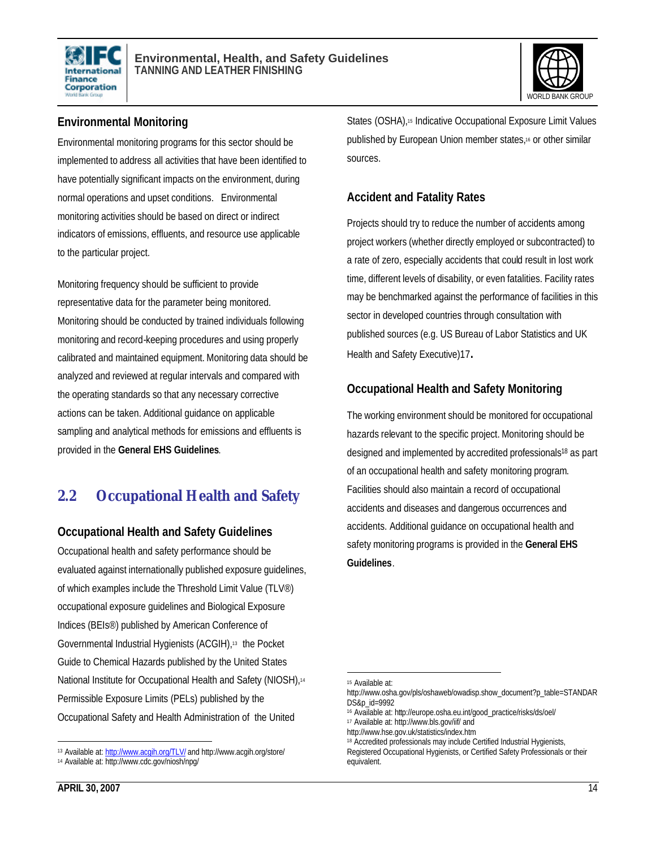



### **Environmental Monitoring**

Environmental monitoring programs for this sector should be implemented to address all activities that have been identified to have potentially significant impacts on the environment, during normal operations and upset conditions. Environmental monitoring activities should be based on direct or indirect indicators of emissions, effluents, and resource use applicable to the particular project.

Monitoring frequency should be sufficient to provide representative data for the parameter being monitored. Monitoring should be conducted by trained individuals following monitoring and record-keeping procedures and using properly calibrated and maintained equipment. Monitoring data should be analyzed and reviewed at regular intervals and compared with the operating standards so that any necessary corrective actions can be taken. Additional guidance on applicable sampling and analytical methods for emissions and effluents is provided in the **General EHS Guidelines**.

# **2.2 Occupational Health and Safety**

### **Occupational Health and Safety Guidelines**

Occupational health and safety performance should be evaluated against internationally published exposure guidelines, of which examples include the Threshold Limit Value (TLV®) occupational exposure guidelines and Biological Exposure Indices (BEIs®) published by American Conference of Governmental Industrial Hygienists (ACGIH),13 the Pocket Guide to Chemical Hazards published by the United States National Institute for Occupational Health and Safety (NIOSH),<sup>14</sup> Permissible Exposure Limits (PELs) published by the Occupational Safety and Health Administration of the United

### **Accident and Fatality Rates**

Projects should try to reduce the number of accidents among project workers (whether directly employed or subcontracted) to a rate of zero, especially accidents that could result in lost work time, different levels of disability, or even fatalities. Facility rates may be benchmarked against the performance of facilities in this sector in developed countries through consultation with published sources (e.g. US Bureau of Labor Statistics and UK Health and Safety Executive)17**.**

### **Occupational Health and Safety Monitoring**

The working environment should be monitored for occupational hazards relevant to the specific project. Monitoring should be designed and implemented by accredited professionals<sup>18</sup> as part of an occupational health and safety monitoring program. Facilities should also maintain a record of occupational accidents and diseases and dangerous occurrences and accidents. Additional guidance on occupational health and safety monitoring programs is provided in the **General EHS Guidelines**.

 $\overline{a}$ <sup>13</sup> Available at: http://www.acgih.org/TLV/ and http://www.acgih.org/store/

<sup>14</sup> Available at: http://www.cdc.gov/niosh/npg/

<sup>15</sup> Available at:

http://www.osha.gov/pls/oshaweb/owadisp.show\_document?p\_table=STANDAR DS&p\_id=9992

<sup>16</sup> Available at: http://europe.osha.eu.int/good\_practice/risks/ds/oel/ <sup>17</sup> Available at: http://www.bls.gov/iif/ and

http://www.hse.gov.uk/statistics/index.htm

<sup>18</sup> Accredited professionals may include Certified Industrial Hygienists,

Registered Occupational Hygienists, or Certified Safety Professionals or their equivalent.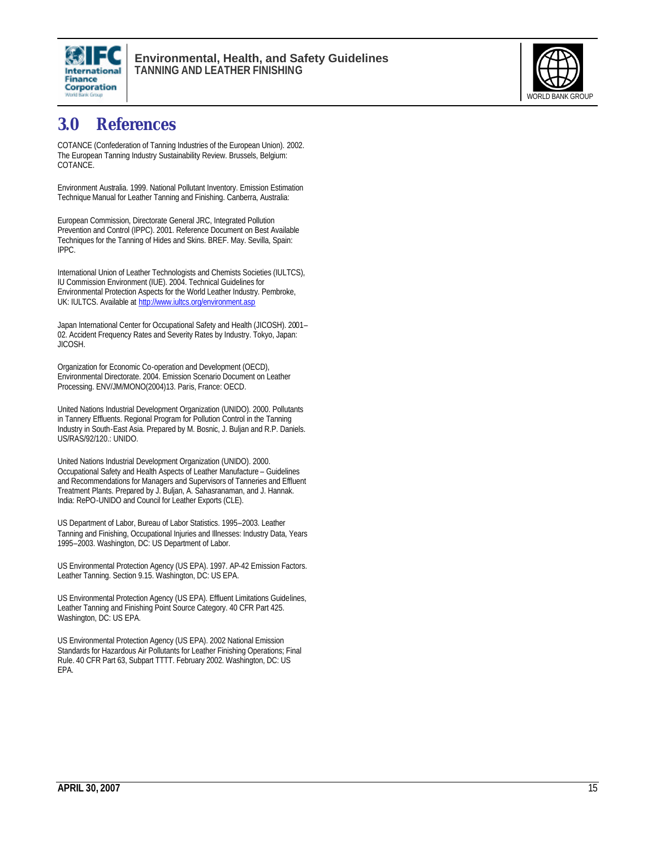



# **3.0 References**

COTANCE (Confederation of Tanning Industries of the European Union). 2002. The European Tanning Industry Sustainability Review. Brussels, Belgium: COTANCE.

Environment Australia. 1999. National Pollutant Inventory. Emission Estimation Technique Manual for Leather Tanning and Finishing. Canberra, Australia:

European Commission, Directorate General JRC, Integrated Pollution Prevention and Control (IPPC). 2001. Reference Document on Best Available Techniques for the Tanning of Hides and Skins. BREF. May. Sevilla, Spain: IPPC.

International Union of Leather Technologists and Chemists Societies (IULTCS), IU Commission Environment (IUE). 2004. Technical Guidelines for Environmental Protection Aspects for the World Leather Industry. Pembroke, UK: IULTCS. Available at http://www.iultcs.org/environment.asp

Japan International Center for Occupational Safety and Health (JICOSH). 2001– 02. Accident Frequency Rates and Severity Rates by Industry. Tokyo, Japan: JICOSH.

Organization for Economic Co-operation and Development (OECD), Environmental Directorate. 2004. Emission Scenario Document on Leather Processing. ENV/JM/MONO(2004)13. Paris, France: OECD.

United Nations Industrial Development Organization (UNIDO). 2000. Pollutants in Tannery Effluents. Regional Program for Pollution Control in the Tanning Industry in South-East Asia. Prepared by M. Bosnic, J. Buljan and R.P. Daniels. US/RAS/92/120.: UNIDO.

United Nations Industrial Development Organization (UNIDO). 2000. Occupational Safety and Health Aspects of Leather Manufacture – Guidelines and Recommendations for Managers and Supervisors of Tanneries and Effluent Treatment Plants. Prepared by J. Buljan, A. Sahasranaman, and J. Hannak. India: RePO-UNIDO and Council for Leather Exports (CLE).

US Department of Labor, Bureau of Labor Statistics. 1995–2003. Leather Tanning and Finishing, Occupational Injuries and Illnesses: Industry Data, Years 1995–2003. Washington, DC: US Department of Labor.

US Environmental Protection Agency (US EPA). 1997. AP-42 Emission Factors. Leather Tanning. Section 9.15. Washington, DC: US EPA.

US Environmental Protection Agency (US EPA). Effluent Limitations Guidelines, Leather Tanning and Finishing Point Source Category. 40 CFR Part 425. Washington, DC: US EPA.

US Environmental Protection Agency (US EPA). 2002 National Emission Standards for Hazardous Air Pollutants for Leather Finishing Operations; Final Rule. 40 CFR Part 63, Subpart TTTT. February 2002. Washington, DC: US EPA.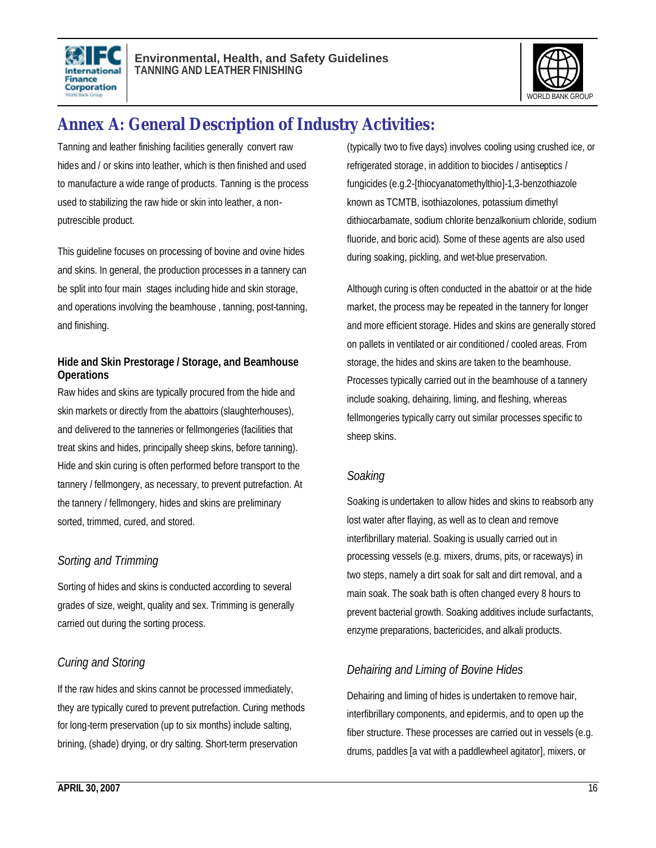



# **Annex A: General Description of Industry Activities:**

Tanning and leather finishing facilities generally convert raw hides and / or skins into leather, which is then finished and used to manufacture a wide range of products. Tanning is the process used to stabilizing the raw hide or skin into leather, a nonputrescible product.

This guideline focuses on processing of bovine and ovine hides and skins. In general, the production processes in a tannery can be split into four main stages including hide and skin storage, and operations involving the beamhouse , tanning, post-tanning, and finishing.

#### **Hide and Skin Prestorage / Storage, and Beamhouse Operations**

Raw hides and skins are typically procured from the hide and skin markets or directly from the abattoirs (slaughterhouses), and delivered to the tanneries or fellmongeries (facilities that treat skins and hides, principally sheep skins, before tanning). Hide and skin curing is often performed before transport to the tannery / fellmongery, as necessary, to prevent putrefaction. At the tannery / fellmongery, hides and skins are preliminary sorted, trimmed, cured, and stored.

### *Sorting and Trimming*

Sorting of hides and skins is conducted according to several grades of size, weight, quality and sex. Trimming is generally carried out during the sorting process.

### *Curing and Storing*

If the raw hides and skins cannot be processed immediately, they are typically cured to prevent putrefaction. Curing methods for long-term preservation (up to six months) include salting, brining, (shade) drying, or dry salting. Short-term preservation

(typically two to five days) involves cooling using crushed ice, or refrigerated storage, in addition to biocides / antiseptics / fungicides (e.g.2-[thiocyanatomethylthio]-1,3-benzothiazole known as TCMTB, isothiazolones, potassium dimethyl dithiocarbamate, sodium chlorite benzalkonium chloride, sodium fluoride, and boric acid). Some of these agents are also used during soaking, pickling, and wet-blue preservation.

Although curing is often conducted in the abattoir or at the hide market, the process may be repeated in the tannery for longer and more efficient storage. Hides and skins are generally stored on pallets in ventilated or air conditioned / cooled areas. From storage, the hides and skins are taken to the beamhouse. Processes typically carried out in the beamhouse of a tannery include soaking, dehairing, liming, and fleshing, whereas fellmongeries typically carry out similar processes specific to sheep skins.

### *Soaking*

Soaking is undertaken to allow hides and skins to reabsorb any lost water after flaying, as well as to clean and remove interfibrillary material. Soaking is usually carried out in processing vessels (e.g. mixers, drums, pits, or raceways) in two steps, namely a dirt soak for salt and dirt removal, and a main soak. The soak bath is often changed every 8 hours to prevent bacterial growth. Soaking additives include surfactants, enzyme preparations, bactericides, and alkali products.

### *Dehairing and Liming of Bovine Hides*

Dehairing and liming of hides is undertaken to remove hair, interfibrillary components, and epidermis, and to open up the fiber structure. These processes are carried out in vessels (e.g. drums, paddles [a vat with a paddlewheel agitator], mixers, or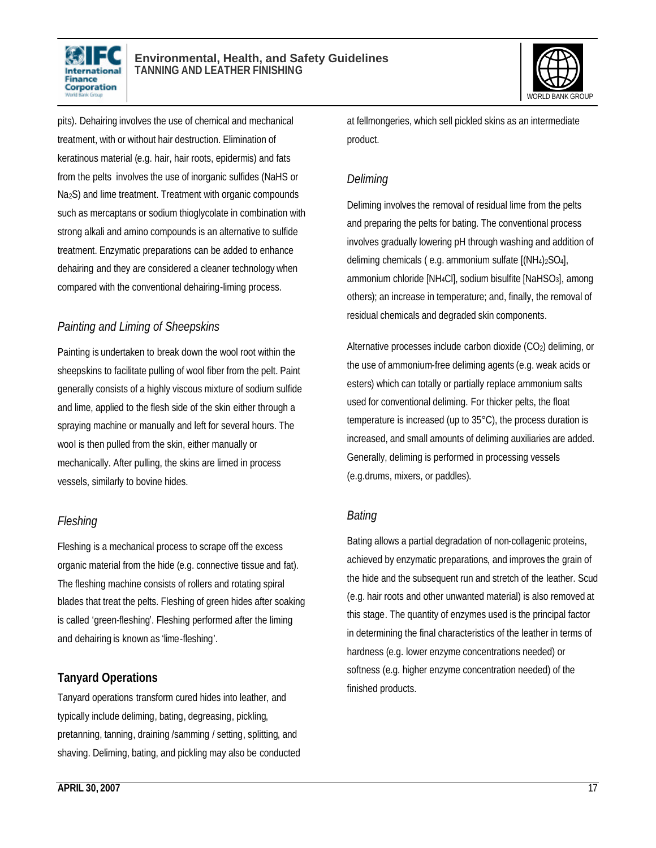



pits). Dehairing involves the use of chemical and mechanical treatment, with or without hair destruction. Elimination of keratinous material (e.g. hair, hair roots, epidermis) and fats from the pelts involves the use of inorganic sulfides (NaHS or Na2S) and lime treatment. Treatment with organic compounds such as mercaptans or sodium thioglycolate in combination with strong alkali and amino compounds is an alternative to sulfide treatment. Enzymatic preparations can be added to enhance dehairing and they are considered a cleaner technology when compared with the conventional dehairing-liming process.

### *Painting and Liming of Sheepskins*

Painting is undertaken to break down the wool root within the sheepskins to facilitate pulling of wool fiber from the pelt. Paint generally consists of a highly viscous mixture of sodium sulfide and lime, applied to the flesh side of the skin either through a spraying machine or manually and left for several hours. The wool is then pulled from the skin, either manually or mechanically. After pulling, the skins are limed in process vessels, similarly to bovine hides.

### *Fleshing*

Fleshing is a mechanical process to scrape off the excess organic material from the hide (e.g. connective tissue and fat). The fleshing machine consists of rollers and rotating spiral blades that treat the pelts. Fleshing of green hides after soaking is called 'green-fleshing'. Fleshing performed after the liming and dehairing is known as 'lime-fleshing'.

### **Tanyard Operations**

Tanyard operations transform cured hides into leather, and typically include deliming, bating, degreasing, pickling, pretanning, tanning, draining /samming / setting, splitting, and shaving. Deliming, bating, and pickling may also be conducted at fellmongeries, which sell pickled skins as an intermediate product.

### *Deliming*

Deliming involves the removal of residual lime from the pelts and preparing the pelts for bating. The conventional process involves gradually lowering pH through washing and addition of deliming chemicals ( e.g. ammonium sulfate [(NH4)2SO4], ammonium chloride [NH4Cl], sodium bisulfite [NaHSO3], among others); an increase in temperature; and, finally, the removal of residual chemicals and degraded skin components.

Alternative processes include carbon dioxide (CO2) deliming, or the use of ammonium-free deliming agents (e.g. weak acids or esters) which can totally or partially replace ammonium salts used for conventional deliming. For thicker pelts, the float temperature is increased (up to 35°C), the process duration is increased, and small amounts of deliming auxiliaries are added. Generally, deliming is performed in processing vessels (e.g.drums, mixers, or paddles).

### *Bating*

Bating allows a partial degradation of non-collagenic proteins, achieved by enzymatic preparations, and improves the grain of the hide and the subsequent run and stretch of the leather. Scud (e.g. hair roots and other unwanted material) is also removed at this stage. The quantity of enzymes used is the principal factor in determining the final characteristics of the leather in terms of hardness (e.g. lower enzyme concentrations needed) or softness (e.g. higher enzyme concentration needed) of the finished products.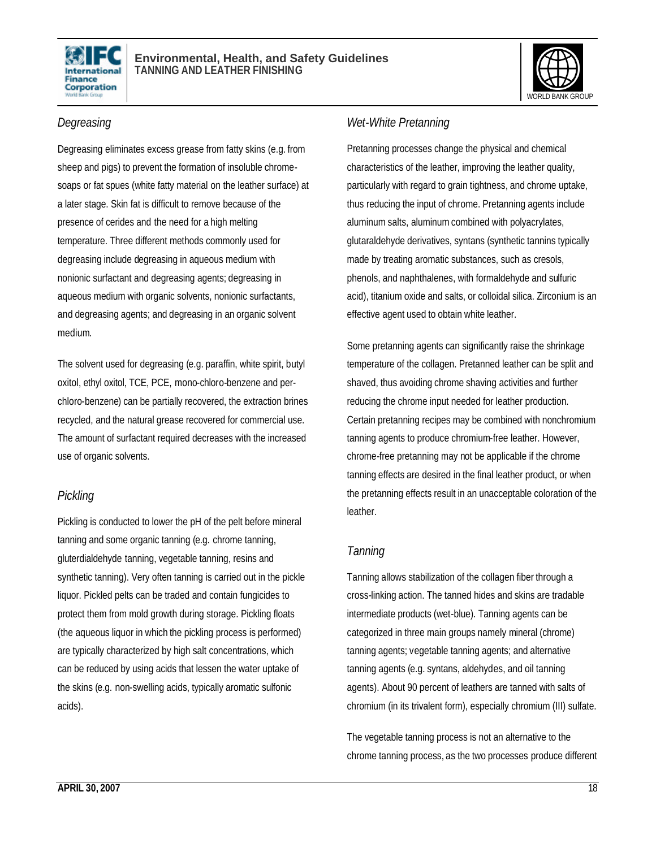



#### *Degreasing*

Degreasing eliminates excess grease from fatty skins (e.g. from sheep and pigs) to prevent the formation of insoluble chromesoaps or fat spues (white fatty material on the leather surface) at a later stage. Skin fat is difficult to remove because of the presence of cerides and the need for a high melting temperature. Three different methods commonly used for degreasing include degreasing in aqueous medium with nonionic surfactant and degreasing agents; degreasing in aqueous medium with organic solvents, nonionic surfactants, and degreasing agents; and degreasing in an organic solvent medium.

The solvent used for degreasing (e.g. paraffin, white spirit, butyl oxitol, ethyl oxitol, TCE, PCE, mono-chloro-benzene and perchloro-benzene) can be partially recovered, the extraction brines recycled, and the natural grease recovered for commercial use. The amount of surfactant required decreases with the increased use of organic solvents.

#### *Pickling*

Pickling is conducted to lower the pH of the pelt before mineral tanning and some organic tanning (e.g. chrome tanning, gluterdialdehyde tanning, vegetable tanning, resins and synthetic tanning). Very often tanning is carried out in the pickle liquor. Pickled pelts can be traded and contain fungicides to protect them from mold growth during storage. Pickling floats (the aqueous liquor in which the pickling process is performed) are typically characterized by high salt concentrations, which can be reduced by using acids that lessen the water uptake of the skins (e.g. non-swelling acids, typically aromatic sulfonic acids).

#### *Wet-White Pretanning*

Pretanning processes change the physical and chemical characteristics of the leather, improving the leather quality, particularly with regard to grain tightness, and chrome uptake, thus reducing the input of chrome. Pretanning agents include aluminum salts, aluminum combined with polyacrylates, glutaraldehyde derivatives, syntans (synthetic tannins typically made by treating aromatic substances, such as cresols, phenols, and naphthalenes, with formaldehyde and sulfuric acid), titanium oxide and salts, or colloidal silica. Zirconium is an effective agent used to obtain white leather.

Some pretanning agents can significantly raise the shrinkage temperature of the collagen. Pretanned leather can be split and shaved, thus avoiding chrome shaving activities and further reducing the chrome input needed for leather production. Certain pretanning recipes may be combined with nonchromium tanning agents to produce chromium-free leather. However, chrome-free pretanning may not be applicable if the chrome tanning effects are desired in the final leather product, or when the pretanning effects result in an unacceptable coloration of the leather.

### *Tanning*

Tanning allows stabilization of the collagen fiber through a cross-linking action. The tanned hides and skins are tradable intermediate products (wet-blue). Tanning agents can be categorized in three main groups namely mineral (chrome) tanning agents; vegetable tanning agents; and alternative tanning agents (e.g. syntans, aldehydes, and oil tanning agents). About 90 percent of leathers are tanned with salts of chromium (in its trivalent form), especially chromium (III) sulfate.

The vegetable tanning process is not an alternative to the chrome tanning process, as the two processes produce different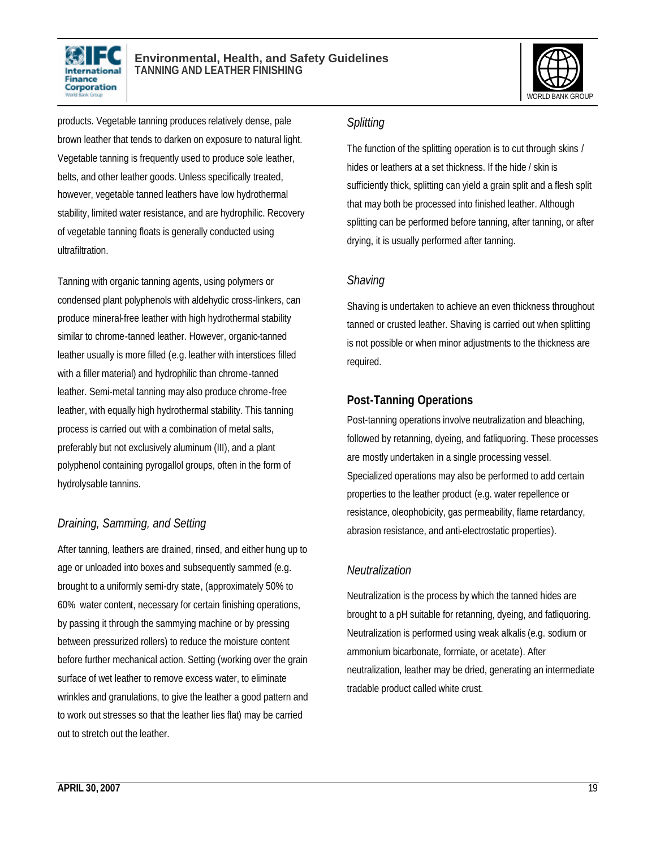



products. Vegetable tanning produces relatively dense, pale brown leather that tends to darken on exposure to natural light. Vegetable tanning is frequently used to produce sole leather, belts, and other leather goods. Unless specifically treated, however, vegetable tanned leathers have low hydrothermal stability, limited water resistance, and are hydrophilic. Recovery of vegetable tanning floats is generally conducted using ultrafiltration.

Tanning with organic tanning agents, using polymers or condensed plant polyphenols with aldehydic cross-linkers, can produce mineral-free leather with high hydrothermal stability similar to chrome-tanned leather. However, organic-tanned leather usually is more filled (e.g. leather with interstices filled with a filler material) and hydrophilic than chrome-tanned leather. Semi-metal tanning may also produce chrome-free leather, with equally high hydrothermal stability. This tanning process is carried out with a combination of metal salts, preferably but not exclusively aluminum (III), and a plant polyphenol containing pyrogallol groups, often in the form of hydrolysable tannins.

### *Draining, Samming, and Setting*

After tanning, leathers are drained, rinsed, and either hung up to age or unloaded into boxes and subsequently sammed (e.g. brought to a uniformly semi-dry state, (approximately 50% to 60% water content, necessary for certain finishing operations, by passing it through the sammying machine or by pressing between pressurized rollers) to reduce the moisture content before further mechanical action. Setting (working over the grain surface of wet leather to remove excess water, to eliminate wrinkles and granulations, to give the leather a good pattern and to work out stresses so that the leather lies flat) may be carried out to stretch out the leather.

#### *Splitting*

The function of the splitting operation is to cut through skins / hides or leathers at a set thickness. If the hide / skin is sufficiently thick, splitting can yield a grain split and a flesh split that may both be processed into finished leather. Although splitting can be performed before tanning, after tanning, or after drying, it is usually performed after tanning.

#### *Shaving*

Shaving is undertaken to achieve an even thickness throughout tanned or crusted leather. Shaving is carried out when splitting is not possible or when minor adjustments to the thickness are required.

### **Post-Tanning Operations**

Post-tanning operations involve neutralization and bleaching, followed by retanning, dyeing, and fatliquoring. These processes are mostly undertaken in a single processing vessel. Specialized operations may also be performed to add certain properties to the leather product (e.g. water repellence or resistance, oleophobicity, gas permeability, flame retardancy, abrasion resistance, and anti-electrostatic properties).

### *Neutralization*

Neutralization is the process by which the tanned hides are brought to a pH suitable for retanning, dyeing, and fatliquoring. Neutralization is performed using weak alkalis (e.g. sodium or ammonium bicarbonate, formiate, or acetate). After neutralization, leather may be dried, generating an intermediate tradable product called white crust.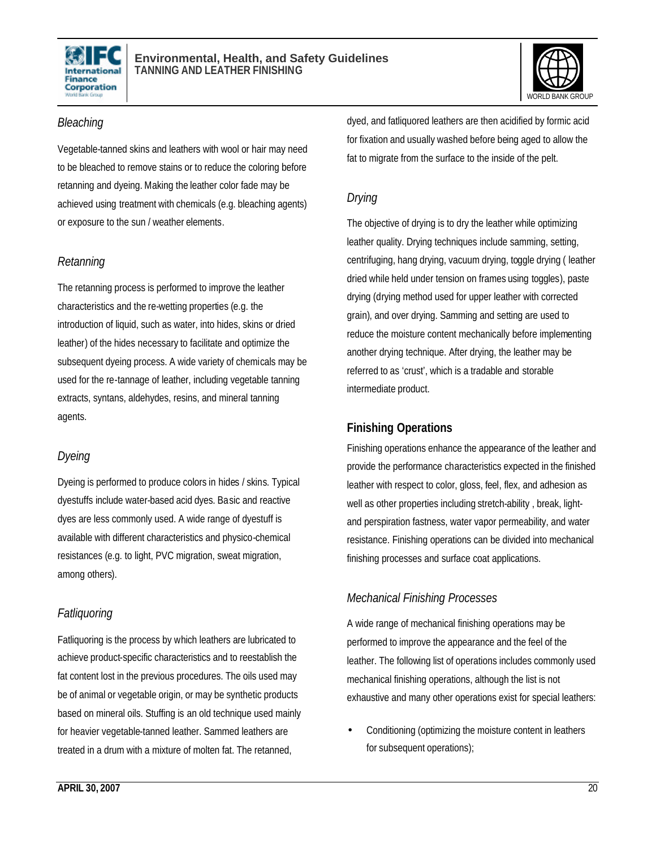



#### *Bleaching*

Vegetable-tanned skins and leathers with wool or hair may need to be bleached to remove stains or to reduce the coloring before retanning and dyeing. Making the leather color fade may be achieved using treatment with chemicals (e.g. bleaching agents) or exposure to the sun / weather elements.

#### *Retanning*

The retanning process is performed to improve the leather characteristics and the re-wetting properties (e.g. the introduction of liquid, such as water, into hides, skins or dried leather) of the hides necessary to facilitate and optimize the subsequent dyeing process. A wide variety of chemicals may be used for the re-tannage of leather, including vegetable tanning extracts, syntans, aldehydes, resins, and mineral tanning agents.

### *Dyeing*

Dyeing is performed to produce colors in hides / skins. Typical dyestuffs include water-based acid dyes. Basic and reactive dyes are less commonly used. A wide range of dyestuff is available with different characteristics and physico-chemical resistances (e.g. to light, PVC migration, sweat migration, among others).

### *Fatliquoring*

Fatliquoring is the process by which leathers are lubricated to achieve product-specific characteristics and to reestablish the fat content lost in the previous procedures. The oils used may be of animal or vegetable origin, or may be synthetic products based on mineral oils. Stuffing is an old technique used mainly for heavier vegetable-tanned leather. Sammed leathers are treated in a drum with a mixture of molten fat. The retanned,

dyed, and fatliquored leathers are then acidified by formic acid for fixation and usually washed before being aged to allow the fat to migrate from the surface to the inside of the pelt.

### *Drying*

The objective of drying is to dry the leather while optimizing leather quality. Drying techniques include samming, setting, centrifuging, hang drying, vacuum drying, toggle drying ( leather dried while held under tension on frames using toggles), paste drying (drying method used for upper leather with corrected grain), and over drying. Samming and setting are used to reduce the moisture content mechanically before implementing another drying technique. After drying, the leather may be referred to as 'crust', which is a tradable and storable intermediate product.

### **Finishing Operations**

Finishing operations enhance the appearance of the leather and provide the performance characteristics expected in the finished leather with respect to color, gloss, feel, flex, and adhesion as well as other properties including stretch-ability , break, lightand perspiration fastness, water vapor permeability, and water resistance. Finishing operations can be divided into mechanical finishing processes and surface coat applications.

### *Mechanical Finishing Processes*

A wide range of mechanical finishing operations may be performed to improve the appearance and the feel of the leather. The following list of operations includes commonly used mechanical finishing operations, although the list is not exhaustive and many other operations exist for special leathers:

• Conditioning (optimizing the moisture content in leathers for subsequent operations);